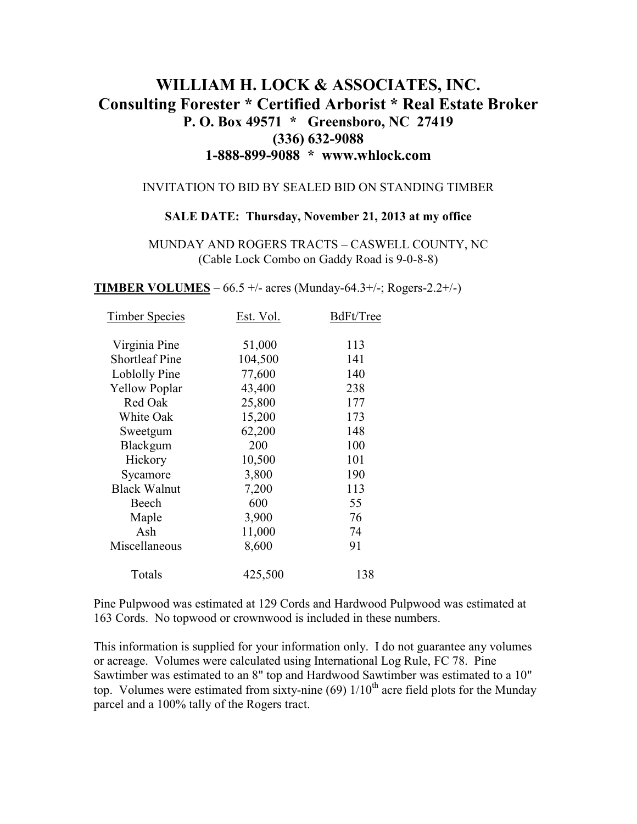# **WILLIAM H. LOCK & ASSOCIATES, INC. Consulting Forester \* Certified Arborist \* Real Estate Broker P. O. Box 49571 \* Greensboro, NC 27419 (336) 632-9088 1-888-899-9088 \* www.whlock.com**

#### INVITATION TO BID BY SEALED BID ON STANDING TIMBER

### **SALE DATE: Thursday, November 21, 2013 at my office**

MUNDAY AND ROGERS TRACTS – CASWELL COUNTY, NC (Cable Lock Combo on Gaddy Road is 9-0-8-8)

**TIMBER VOLUMES** – 66.5 +/- acres (Munday-64.3+/-; Rogers-2.2+/-)

| <b>Timber Species</b> | Est. Vol. | BdFt/Tree |
|-----------------------|-----------|-----------|
| Virginia Pine         | 51,000    | 113       |
| <b>Shortleaf Pine</b> | 104,500   | 141       |
| Loblolly Pine         | 77,600    | 140       |
| <b>Yellow Poplar</b>  | 43,400    | 238       |
| Red Oak               | 25,800    | 177       |
| White Oak             | 15,200    | 173       |
| Sweetgum              | 62,200    | 148       |
| Blackgum              | 200       | 100       |
| Hickory               | 10,500    | 101       |
| Sycamore              | 3,800     | 190       |
| <b>Black Walnut</b>   | 7,200     | 113       |
| Beech                 | 600       | 55        |
| Maple                 | 3,900     | 76        |
| Ash                   | 11,000    | 74        |
| Miscellaneous         | 8,600     | 91        |
| Totals                | 425,500   | 138       |

Pine Pulpwood was estimated at 129 Cords and Hardwood Pulpwood was estimated at 163 Cords. No topwood or crownwood is included in these numbers.

This information is supplied for your information only. I do not guarantee any volumes or acreage. Volumes were calculated using International Log Rule, FC 78. Pine Sawtimber was estimated to an 8" top and Hardwood Sawtimber was estimated to a 10" top. Volumes were estimated from sixty-nine (69)  $1/10^{th}$  acre field plots for the Munday parcel and a 100% tally of the Rogers tract.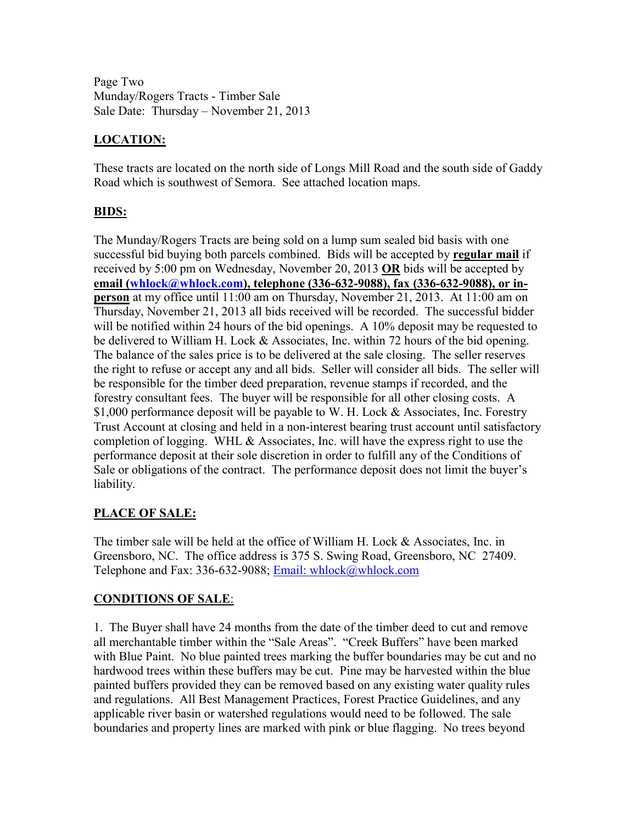Page Two Munday/Rogers Tracts - Timber Sale Sale Date: Thursday – November 21, 2013

# **LOCATION:**

These tracts are located on the north side of Longs Mill Road and the south side of Gaddy Road which is southwest of Semora. See attached location maps.

# **BIDS:**

The Munday/Rogers Tracts are being sold on a lump sum sealed bid basis with one successful bid buying both parcels combined. Bids will be accepted by **regular mail** if received by 5:00 pm on Wednesday, November 20, 2013 **OR** bids will be accepted by **email (whlock@whlock.com), telephone (336-632-9088), fax (336-632-9088), or inperson** at my office until 11:00 am on Thursday, November 21, 2013. At 11:00 am on Thursday, November 21, 2013 all bids received will be recorded. The successful bidder will be notified within 24 hours of the bid openings. A 10% deposit may be requested to be delivered to William H. Lock & Associates, Inc. within 72 hours of the bid opening. The balance of the sales price is to be delivered at the sale closing. The seller reserves the right to refuse or accept any and all bids. Seller will consider all bids. The seller will be responsible for the timber deed preparation, revenue stamps if recorded, and the forestry consultant fees. The buyer will be responsible for all other closing costs. A \$1,000 performance deposit will be payable to W. H. Lock & Associates, Inc. Forestry Trust Account at closing and held in a non-interest bearing trust account until satisfactory completion of logging. WHL & Associates, Inc. will have the express right to use the performance deposit at their sole discretion in order to fulfill any of the Conditions of Sale or obligations of the contract. The performance deposit does not limit the buyer's liability.

# **PLACE OF SALE:**

The timber sale will be held at the office of William H. Lock & Associates, Inc. in Greensboro, NC. The office address is 375 S. Swing Road, Greensboro, NC 27409. Telephone and Fax: 336-632-9088; Email: whlock@whlock.com

# **CONDITIONS OF SALE**:

1. The Buyer shall have 24 months from the date of the timber deed to cut and remove all merchantable timber within the "Sale Areas". "Creek Buffers" have been marked with Blue Paint. No blue painted trees marking the buffer boundaries may be cut and no hardwood trees within these buffers may be cut. Pine may be harvested within the blue painted buffers provided they can be removed based on any existing water quality rules and regulations. All Best Management Practices, Forest Practice Guidelines, and any applicable river basin or watershed regulations would need to be followed. The sale boundaries and property lines are marked with pink or blue flagging. No trees beyond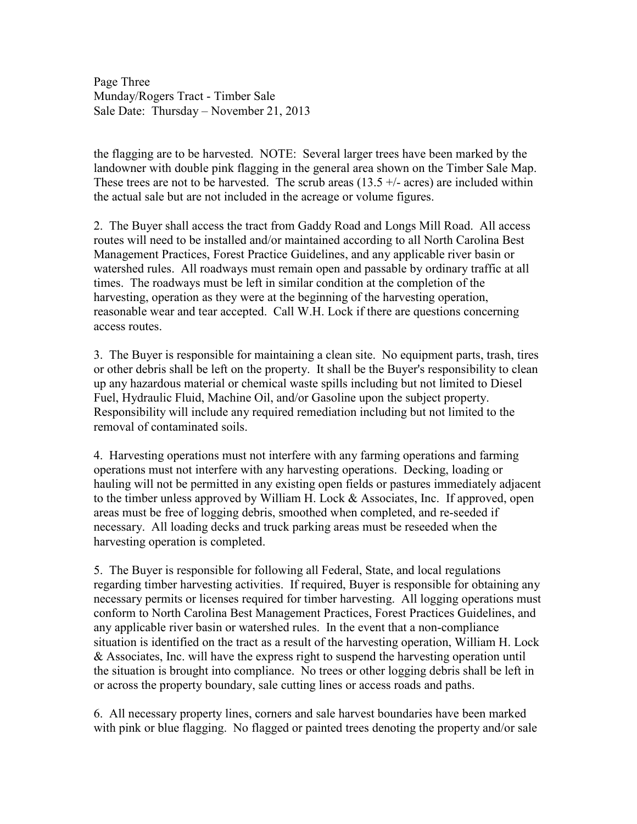Page Three Munday/Rogers Tract - Timber Sale Sale Date: Thursday – November 21, 2013

the flagging are to be harvested. NOTE: Several larger trees have been marked by the landowner with double pink flagging in the general area shown on the Timber Sale Map. These trees are not to be harvested. The scrub areas  $(13.5 + / -$  acres) are included within the actual sale but are not included in the acreage or volume figures.

2. The Buyer shall access the tract from Gaddy Road and Longs Mill Road. All access routes will need to be installed and/or maintained according to all North Carolina Best Management Practices, Forest Practice Guidelines, and any applicable river basin or watershed rules. All roadways must remain open and passable by ordinary traffic at all times. The roadways must be left in similar condition at the completion of the harvesting, operation as they were at the beginning of the harvesting operation, reasonable wear and tear accepted. Call W.H. Lock if there are questions concerning access routes.

3. The Buyer is responsible for maintaining a clean site. No equipment parts, trash, tires or other debris shall be left on the property. It shall be the Buyer's responsibility to clean up any hazardous material or chemical waste spills including but not limited to Diesel Fuel, Hydraulic Fluid, Machine Oil, and/or Gasoline upon the subject property. Responsibility will include any required remediation including but not limited to the removal of contaminated soils.

4. Harvesting operations must not interfere with any farming operations and farming operations must not interfere with any harvesting operations. Decking, loading or hauling will not be permitted in any existing open fields or pastures immediately adjacent to the timber unless approved by William H. Lock & Associates, Inc. If approved, open areas must be free of logging debris, smoothed when completed, and re-seeded if necessary. All loading decks and truck parking areas must be reseeded when the harvesting operation is completed.

5. The Buyer is responsible for following all Federal, State, and local regulations regarding timber harvesting activities. If required, Buyer is responsible for obtaining any necessary permits or licenses required for timber harvesting. All logging operations must conform to North Carolina Best Management Practices, Forest Practices Guidelines, and any applicable river basin or watershed rules. In the event that a non-compliance situation is identified on the tract as a result of the harvesting operation, William H. Lock & Associates, Inc. will have the express right to suspend the harvesting operation until the situation is brought into compliance. No trees or other logging debris shall be left in or across the property boundary, sale cutting lines or access roads and paths.

6. All necessary property lines, corners and sale harvest boundaries have been marked with pink or blue flagging. No flagged or painted trees denoting the property and/or sale